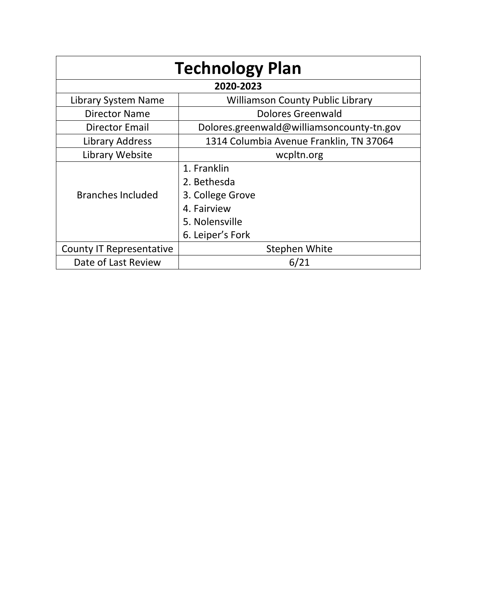| <b>Technology Plan</b>          |                                           |  |  |  |  |  |
|---------------------------------|-------------------------------------------|--|--|--|--|--|
| 2020-2023                       |                                           |  |  |  |  |  |
| Library System Name             | <b>Williamson County Public Library</b>   |  |  |  |  |  |
| <b>Director Name</b>            | Dolores Greenwald                         |  |  |  |  |  |
| Director Email                  | Dolores.greenwald@williamsoncounty-tn.gov |  |  |  |  |  |
| Library Address                 | 1314 Columbia Avenue Franklin, TN 37064   |  |  |  |  |  |
| Library Website                 | wcpltn.org                                |  |  |  |  |  |
|                                 | 1. Franklin                               |  |  |  |  |  |
|                                 | 2. Bethesda                               |  |  |  |  |  |
| <b>Branches Included</b>        | 3. College Grove                          |  |  |  |  |  |
|                                 | 4. Fairview                               |  |  |  |  |  |
|                                 | 5. Nolensville                            |  |  |  |  |  |
|                                 | 6. Leiper's Fork                          |  |  |  |  |  |
| <b>County IT Representative</b> | Stephen White                             |  |  |  |  |  |
| Date of Last Review             | 6/21                                      |  |  |  |  |  |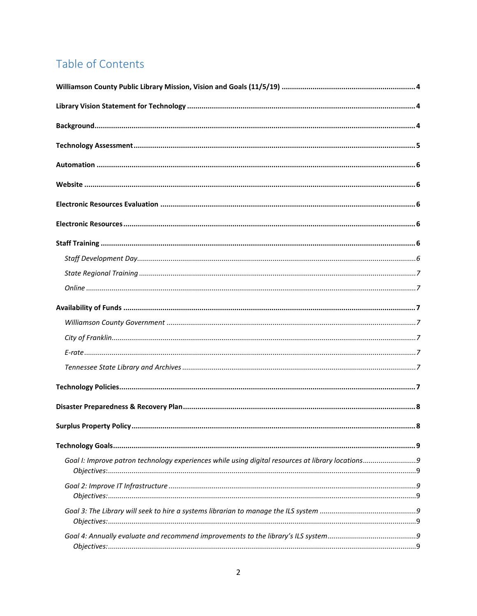# Table of Contents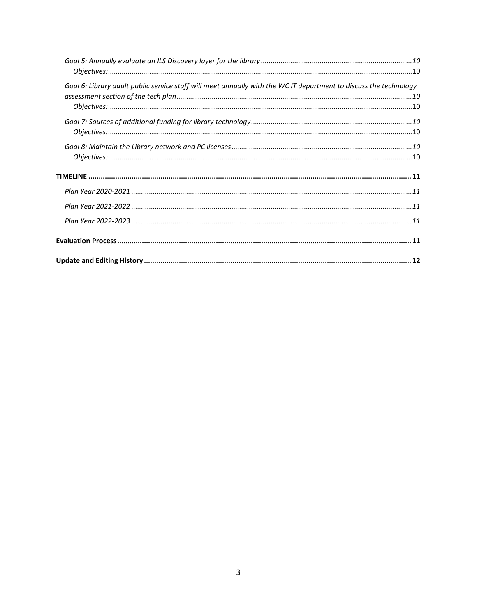| Goal 6: Library adult public service staff will meet annually with the WC IT department to discuss the technology |  |
|-------------------------------------------------------------------------------------------------------------------|--|
|                                                                                                                   |  |
|                                                                                                                   |  |
|                                                                                                                   |  |
|                                                                                                                   |  |
|                                                                                                                   |  |
|                                                                                                                   |  |
|                                                                                                                   |  |
|                                                                                                                   |  |
|                                                                                                                   |  |
|                                                                                                                   |  |
|                                                                                                                   |  |
|                                                                                                                   |  |
|                                                                                                                   |  |
|                                                                                                                   |  |
|                                                                                                                   |  |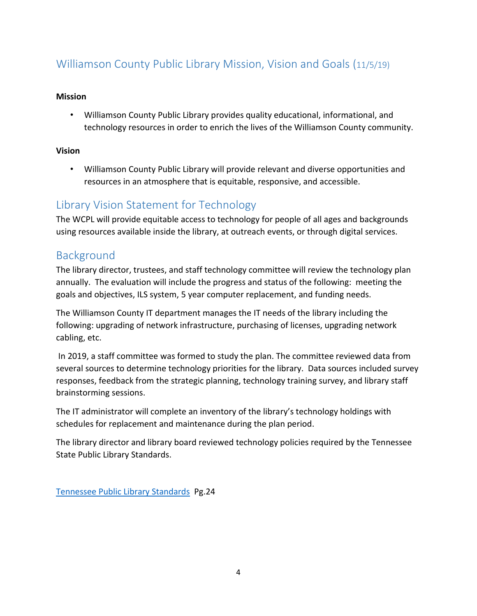# <span id="page-3-0"></span>Williamson County Public Library Mission, Vision and Goals (11/5/19)

#### **Mission**

• Williamson County Public Library provides quality educational, informational, and technology resources in order to enrich the lives of the Williamson County community.

#### **Vision**

• Williamson County Public Library will provide relevant and diverse opportunities and resources in an atmosphere that is equitable, responsive, and accessible.

### <span id="page-3-1"></span>Library Vision Statement for Technology

The WCPL will provide equitable access to technology for people of all ages and backgrounds using resources available inside the library, at outreach events, or through digital services.

### <span id="page-3-2"></span>Background

The library director, trustees, and staff technology committee will review the technology plan annually. The evaluation will include the progress and status of the following: meeting the goals and objectives, ILS system, 5 year computer replacement, and funding needs.

The Williamson County IT department manages the IT needs of the library including the following: upgrading of network infrastructure, purchasing of licenses, upgrading network cabling, etc.

In 2019, a staff committee was formed to study the plan. The committee reviewed data from several sources to determine technology priorities for the library. Data sources included survey responses, feedback from the strategic planning, technology training survey, and library staff brainstorming sessions.

The IT administrator will complete an inventory of the library's technology holdings with schedules for replacement and maintenance during the plan period.

The library director and library board reviewed technology policies required by the Tennessee State Public Library Standards.

[Tennessee Public Library Standards](http://sharetngov.tnsosfiles.com.s3.amazonaws.com/tsla/lps/Library%20Standards%20for%20Non-Metropolitan%20Libraries.pdf) Pg.24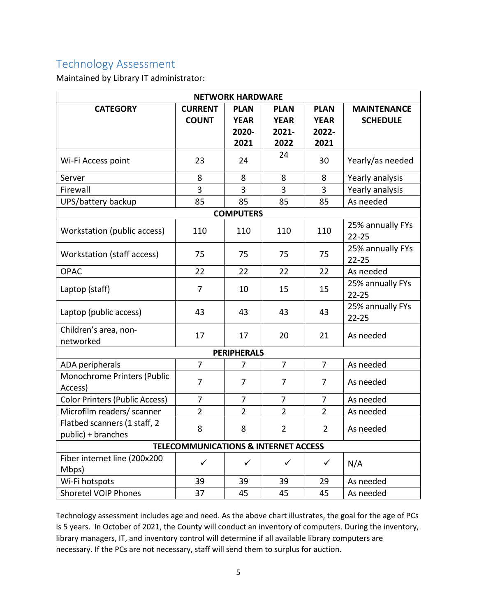### <span id="page-4-0"></span>Technology Assessment

Maintained by Library IT administrator:

| <b>NETWORK HARDWARE</b>                            |                                |                                             |                                             |                                             |                                       |  |  |  |
|----------------------------------------------------|--------------------------------|---------------------------------------------|---------------------------------------------|---------------------------------------------|---------------------------------------|--|--|--|
| <b>CATEGORY</b>                                    | <b>CURRENT</b><br><b>COUNT</b> | <b>PLAN</b><br><b>YEAR</b><br>2020-<br>2021 | <b>PLAN</b><br><b>YEAR</b><br>2021-<br>2022 | <b>PLAN</b><br><b>YEAR</b><br>2022-<br>2021 | <b>MAINTENANCE</b><br><b>SCHEDULE</b> |  |  |  |
| Wi-Fi Access point                                 | 23                             | 24                                          | 24                                          | 30                                          | Yearly/as needed                      |  |  |  |
| Server                                             | 8                              | 8                                           | 8                                           | 8                                           | Yearly analysis                       |  |  |  |
| Firewall                                           | 3                              | 3                                           | 3                                           | 3                                           | Yearly analysis                       |  |  |  |
| UPS/battery backup                                 | 85                             | 85                                          | 85                                          | 85                                          | As needed                             |  |  |  |
| <b>COMPUTERS</b>                                   |                                |                                             |                                             |                                             |                                       |  |  |  |
| Workstation (public access)                        | 110                            | 110                                         | 110                                         | 110                                         | 25% annually FYs<br>$22 - 25$         |  |  |  |
| Workstation (staff access)                         | 75                             | 75                                          | 75                                          | 75                                          | 25% annually FYs<br>$22 - 25$         |  |  |  |
| <b>OPAC</b>                                        | 22                             | 22                                          | 22                                          | 22                                          | As needed                             |  |  |  |
| Laptop (staff)                                     | $\overline{7}$                 | 10                                          | 15                                          | 15                                          | 25% annually FYs<br>$22 - 25$         |  |  |  |
| Laptop (public access)                             | 43                             | 43                                          | 43                                          | 43                                          | 25% annually FYs<br>$22 - 25$         |  |  |  |
| Children's area, non-<br>networked                 | 17                             | 17                                          | 20                                          | 21                                          | As needed                             |  |  |  |
| <b>PERIPHERALS</b>                                 |                                |                                             |                                             |                                             |                                       |  |  |  |
| ADA peripherals                                    | $\overline{7}$                 | 7                                           | $\overline{7}$                              | $\overline{7}$                              | As needed                             |  |  |  |
| Monochrome Printers (Public<br>Access)             | $\overline{7}$                 | 7                                           | $\overline{7}$                              | $\overline{7}$                              | As needed                             |  |  |  |
| <b>Color Printers (Public Access)</b>              | 7                              | 7                                           | 7                                           | 7                                           | As needed                             |  |  |  |
| Microfilm readers/ scanner                         | $\overline{2}$                 | $\overline{2}$                              | $\overline{2}$                              | $\overline{2}$                              | As needed                             |  |  |  |
| Flatbed scanners (1 staff, 2<br>public) + branches | 8                              | 8                                           | $\overline{2}$                              | $\overline{2}$                              | As needed                             |  |  |  |
| <b>TELECOMMUNICATIONS &amp; INTERNET ACCESS</b>    |                                |                                             |                                             |                                             |                                       |  |  |  |
| Fiber internet line (200x200<br>Mbps)              | $\checkmark$                   | $\checkmark$                                | $\checkmark$                                | $\checkmark$                                | N/A                                   |  |  |  |
| Wi-Fi hotspots                                     | 39                             | 39                                          | 39                                          | 29                                          | As needed                             |  |  |  |
| Shoretel VOIP Phones                               | 37                             | 45                                          | 45                                          | 45                                          | As needed                             |  |  |  |

Technology assessment includes age and need. As the above chart illustrates, the goal for the age of PCs is 5 years. In October of 2021, the County will conduct an inventory of computers. During the inventory, library managers, IT, and inventory control will determine if all available library computers are necessary. If the PCs are not necessary, staff will send them to surplus for auction.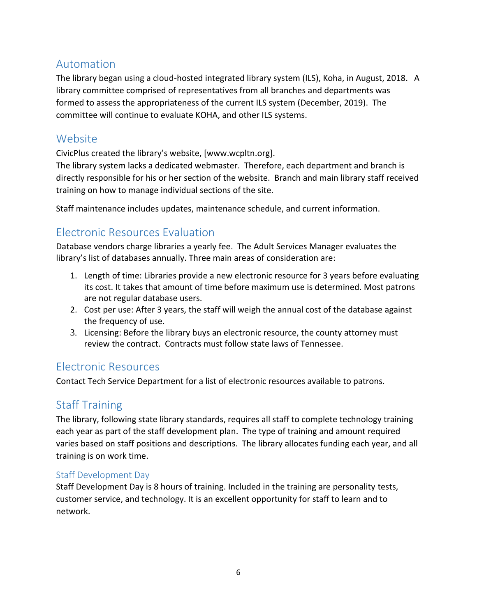### <span id="page-5-0"></span>Automation

The library began using a cloud-hosted integrated library system (ILS), Koha, in August, 2018. A library committee comprised of representatives from all branches and departments was formed to assess the appropriateness of the current ILS system (December, 2019). The committee will continue to evaluate KOHA, and other ILS systems.

### <span id="page-5-1"></span>Website

CivicPlus created the library's website, [www.wcpltn.org].

The library system lacks a dedicated webmaster. Therefore, each department and branch is directly responsible for his or her section of the website. Branch and main library staff received training on how to manage individual sections of the site.

Staff maintenance includes updates, maintenance schedule, and current information.

### <span id="page-5-2"></span>Electronic Resources Evaluation

Database vendors charge libraries a yearly fee. The Adult Services Manager evaluates the library's list of databases annually. Three main areas of consideration are:

- 1. Length of time: Libraries provide a new electronic resource for 3 years before evaluating its cost. It takes that amount of time before maximum use is determined. Most patrons are not regular database users.
- 2. Cost per use: After 3 years, the staff will weigh the annual cost of the database against the frequency of use.
- 3. Licensing: Before the library buys an electronic resource, the county attorney must review the contract. Contracts must follow state laws of Tennessee.

### <span id="page-5-3"></span>Electronic Resources

Contact Tech Service Department for a list of electronic resources available to patrons.

### <span id="page-5-4"></span>Staff Training

The library, following state library standards, requires all staff to complete technology training each year as part of the staff development plan. The type of training and amount required varies based on staff positions and descriptions. The library allocates funding each year, and all training is on work time.

#### <span id="page-5-5"></span>Staff Development Day

Staff Development Day is 8 hours of training. Included in the training are personality tests, customer service, and technology. It is an excellent opportunity for staff to learn and to network.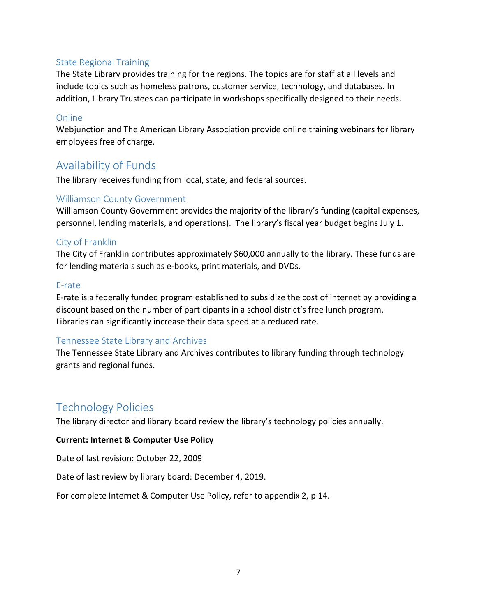#### <span id="page-6-0"></span>State Regional Training

The State Library provides training for the regions. The topics are for staff at all levels and include topics such as homeless patrons, customer service, technology, and databases. In addition, Library Trustees can participate in workshops specifically designed to their needs.

#### <span id="page-6-1"></span>Online

Webjunction and The American Library Association provide online training webinars for library employees free of charge.

### <span id="page-6-2"></span>Availability of Funds

The library receives funding from local, state, and federal sources.

#### <span id="page-6-3"></span>Williamson County Government

Williamson County Government provides the majority of the library's funding (capital expenses, personnel, lending materials, and operations). The library's fiscal year budget begins July 1.

#### <span id="page-6-4"></span>City of Franklin

The City of Franklin contributes approximately \$60,000 annually to the library. These funds are for lending materials such as e-books, print materials, and DVDs.

#### <span id="page-6-5"></span>E-rate

E-rate is a federally funded program established to subsidize the cost of internet by providing a discount based on the number of participants in a school district's free lunch program. Libraries can significantly increase their data speed at a reduced rate.

#### <span id="page-6-6"></span>Tennessee State Library and Archives

The Tennessee State Library and Archives contributes to library funding through technology grants and regional funds.

### <span id="page-6-7"></span>Technology Policies

The library director and library board review the library's technology policies annually.

#### **Current: Internet & Computer Use Policy**

Date of last revision: October 22, 2009

Date of last review by library board: December 4, 2019.

For complete Internet & Computer Use Policy, refer to appendix 2, p 14.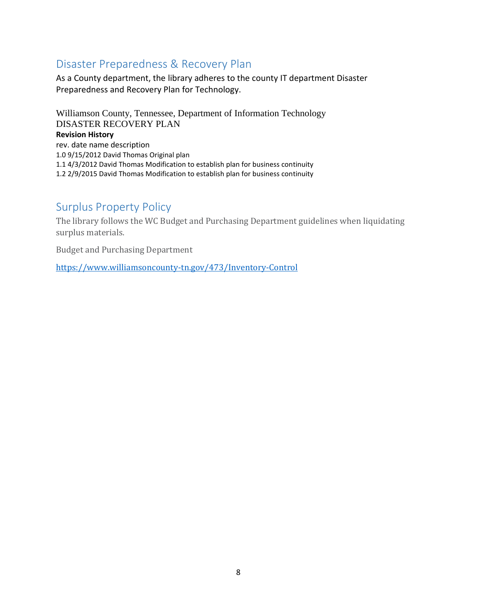### <span id="page-7-0"></span>Disaster Preparedness & Recovery Plan

As a County department, the library adheres to the county IT department Disaster Preparedness and Recovery Plan for Technology.

Williamson County, Tennessee, Department of Information Technology DISASTER RECOVERY PLAN **Revision History** rev. date name description 1.0 9/15/2012 David Thomas Original plan 1.1 4/3/2012 David Thomas Modification to establish plan for business continuity 1.2 2/9/2015 David Thomas Modification to establish plan for business continuity

### <span id="page-7-1"></span>Surplus Property Policy

The library follows the WC Budget and Purchasing Department guidelines when liquidating surplus materials.

Budget and Purchasing Department

<https://www.williamsoncounty-tn.gov/473/Inventory-Control>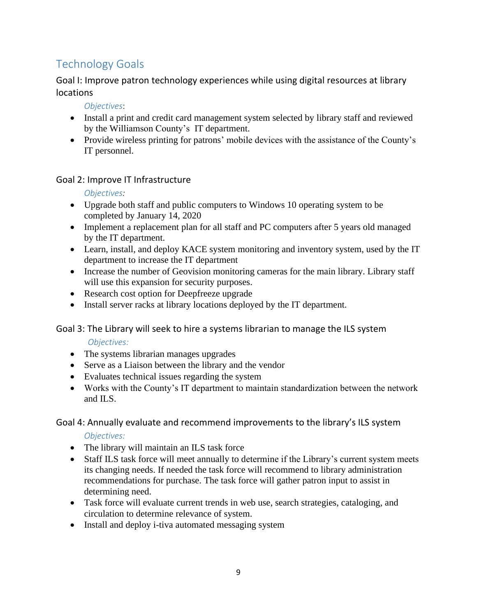# <span id="page-8-0"></span>Technology Goals

<span id="page-8-1"></span>Goal I: Improve patron technology experiences while using digital resources at library locations

*Objectives*:

- <span id="page-8-2"></span>• Install a print and credit card management system selected by library staff and reviewed by the Williamson County's IT department.
- Provide wireless printing for patrons' mobile devices with the assistance of the County's IT personnel.

#### <span id="page-8-4"></span><span id="page-8-3"></span>Goal 2: Improve IT Infrastructure

*Objectives:* 

- Upgrade both staff and public computers to Windows 10 operating system to be completed by January 14, 2020
- Implement a replacement plan for all staff and PC computers after 5 years old managed by the IT department.
- Learn, install, and deploy KACE system monitoring and inventory system, used by the IT department to increase the IT department
- Increase the number of Geovision monitoring cameras for the main library. Library staff will use this expansion for security purposes.
- Research cost option for Deepfreeze upgrade
- Install server racks at library locations deployed by the IT department.

#### <span id="page-8-5"></span>Goal 3: The Library will seek to hire a systems librarian to manage the ILS system

#### <span id="page-8-6"></span>*Objectives:*

- The systems librarian manages upgrades
- Serve as a Liaison between the library and the vendor
- Evaluates technical issues regarding the system
- Works with the County's IT department to maintain standardization between the network and ILS.

#### <span id="page-8-7"></span>Goal 4: Annually evaluate and recommend improvements to the library's ILS system

<span id="page-8-8"></span>*Objectives:*

- The library will maintain an ILS task force
- Staff ILS task force will meet annually to determine if the Library's current system meets its changing needs. If needed the task force will recommend to library administration recommendations for purchase. The task force will gather patron input to assist in determining need.
- Task force will evaluate current trends in web use, search strategies, cataloging, and circulation to determine relevance of system.
- Install and deploy i-tiva automated messaging system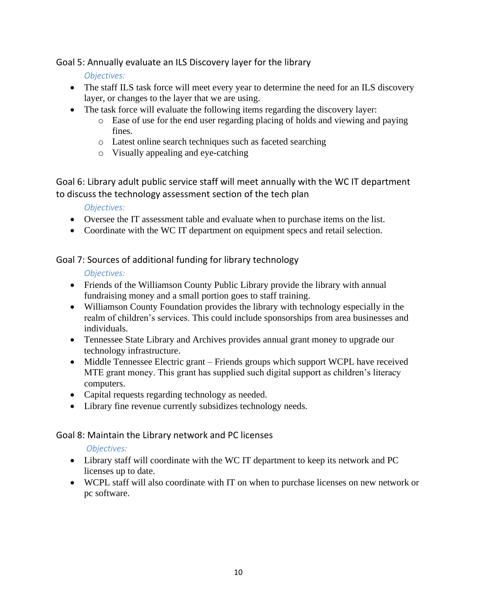<span id="page-9-1"></span><span id="page-9-0"></span>Goal 5: Annually evaluate an ILS Discovery layer for the library

*Objectives:*

- The staff ILS task force will meet every year to determine the need for an ILS discovery layer, or changes to the layer that we are using.
- The task force will evaluate the following items regarding the discovery layer:
	- o Ease of use for the end user regarding placing of holds and viewing and paying fines.
	- o Latest online search techniques such as faceted searching
	- o Visually appealing and eye-catching

<span id="page-9-2"></span>Goal 6: Library adult public service staff will meet annually with the WC IT department to discuss the technology assessment section of the tech plan

*Objectives:*

- <span id="page-9-3"></span>• Oversee the IT assessment table and evaluate when to purchase items on the list.
- Coordinate with the WC IT department on equipment specs and retail selection.

<span id="page-9-4"></span>Goal 7: Sources of additional funding for library technology

<span id="page-9-5"></span>*Objectives:*

- Friends of the Williamson County Public Library provide the library with annual fundraising money and a small portion goes to staff training.
- Williamson County Foundation provides the library with technology especially in the realm of children's services. This could include sponsorships from area businesses and individuals.
- Tennessee State Library and Archives provides annual grant money to upgrade our technology infrastructure.
- Middle Tennessee Electric grant Friends groups which support WCPL have received MTE grant money. This grant has supplied such digital support as children's literacy computers.
- Capital requests regarding technology as needed.
- Library fine revenue currently subsidizes technology needs.

### <span id="page-9-6"></span>Goal 8: Maintain the Library network and PC licenses

<span id="page-9-7"></span>*Objectives:*

- Library staff will coordinate with the WC IT department to keep its network and PC licenses up to date.
- WCPL staff will also coordinate with IT on when to purchase licenses on new network or pc software.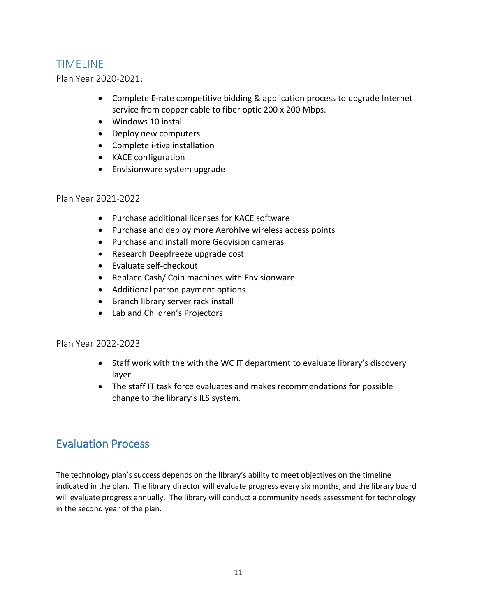### <span id="page-10-0"></span>TIMELINE

<span id="page-10-1"></span>Plan Year 2020-2021:

- Complete E-rate competitive bidding & application process to upgrade Internet service from copper cable to fiber optic 200 x 200 Mbps.
- Windows 10 install
- Deploy new computers
- Complete i-tiva installation
- KACE configuration
- Envisionware system upgrade

#### <span id="page-10-2"></span>Plan Year 2021-2022

- Purchase additional licenses for KACE software
- Purchase and deploy more Aerohive wireless access points
- Purchase and install more Geovision cameras
- Research Deepfreeze upgrade cost
- Evaluate self-checkout
- Replace Cash/ Coin machines with Envisionware
- Additional patron payment options
- Branch library server rack install
- Lab and Children's Projectors

#### <span id="page-10-3"></span>Plan Year 2022-2023

- Staff work with the with the WC IT department to evaluate library's discovery layer
- The staff IT task force evaluates and makes recommendations for possible change to the library's ILS system.

### <span id="page-10-4"></span>Evaluation Process

The technology plan's success depends on the library's ability to meet objectives on the timeline indicated in the plan. The library director will evaluate progress every six months, and the library board will evaluate progress annually. The library will conduct a community needs assessment for technology in the second year of the plan.